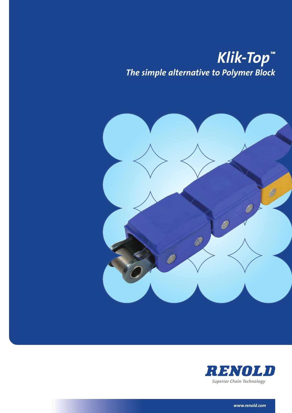# *Klik-Top™ The simple alternative to Polymer Block*





*www.renold.com*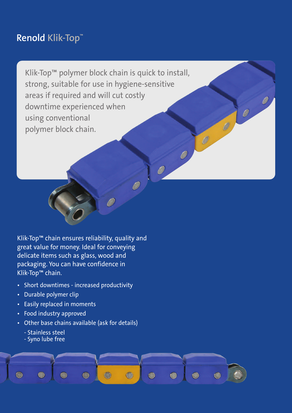### **Renold Klik-Top™**

Klik-Top™ polymer block chain is quick to install, strong, suitable for use in hygiene-sensitive areas if required and will cut costly downtime experienced when using conventional polymer block chain.

 $\theta$ 

 $\begin{matrix} 0 \end{matrix}$ 

Klik-Top™ chain ensures reliability, quality and great value for money. Ideal for conveying delicate items such as glass, wood and packaging. You can have confidence in Klik-Top™ chain.

- Short downtimes increased productivity
- Durable polymer clip
- Easily replaced in moments
- Food industry approved
- Other base chains available (ask for details)
	- Stainless steel
	- Syno lube free

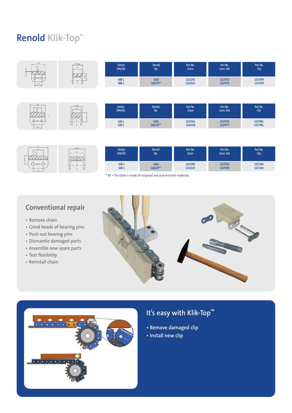## **Renold Klik-Top™**



| 25.4<br>$\mathcal{L}$ | 40.4 nas. | <b>Similar</b><br>DIN/ISO | Renold<br>No. | Part No.<br>Chain <sup>1</sup> | Part No.<br>Conn. link | Part No.<br><b>Clip</b> |
|-----------------------|-----------|---------------------------|---------------|--------------------------------|------------------------|-------------------------|
| $(1)$ -RENOLD $($     |           | $16B-1$                   | 1666          | 1215390                        | 1317165                | 1317164                 |
| 25.4                  |           | $16B-1$                   | 1666 RF**     | 1210319                        | 1317978                | 1317164                 |

\*\* RF = The chain is made of rustproof and acid-resistant materials.

### **Conventional repair**

- **• Remove chain**
- **• Grind heads of bearing pins**
- **• Push out bearing pins**
- **• Dismantle damaged parts**
- **• Assemble new spare parts**
- **• Test flexibility**
- **• Reinstall chain**





### **It's easy with Klik-Top™**

- **• Remove damaged clip**
- **• Install new clip**